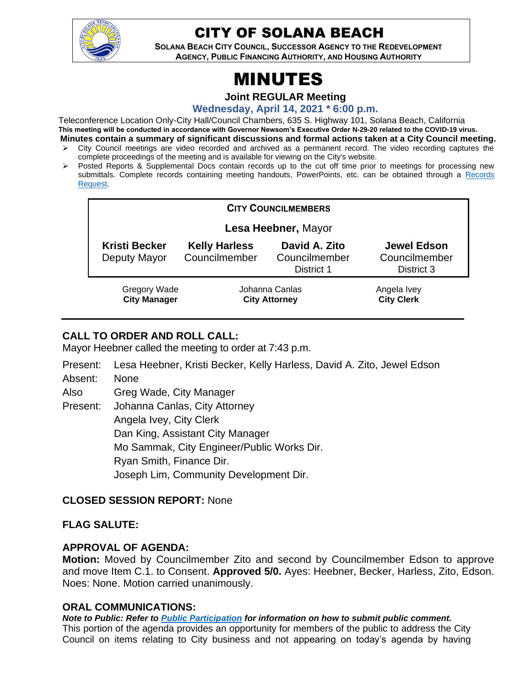

# CITY OF SOLANA BEACH

**SOLANA BEACH CITY COUNCIL, SUCCESSOR AGENCY TO THE REDEVELOPMENT AGENCY, PUBLIC FINANCING AUTHORITY, AND HOUSING AUTHORITY** 

# MINUTES

**Joint REGULAR Meeting**

**Wednesday, April 14, 2021 \* 6:00 p.m.**

Teleconference Location Only-City Hall/Council Chambers, 635 S. Highway 101, Solana Beach, California **This meeting will be conducted in accordance with Governor Newsom's Executive Order N-29-20 related to the COVID-19 virus. Minutes contain a summary of significant discussions and formal actions taken at a City Council meeting.**

- ➢ City Council meetings are video recorded and archived as a permanent record. The video recording captures the complete proceedings of the meeting and is available for viewing on the City's website.
- ➢ Posted Reports & Supplemental Docs contain records up to the cut off time prior to meetings for processing new submittals. Complete records containing meeting handouts, PowerPoints, etc. can be obtained through a Records [Request.](http://www.ci.solana-beach.ca.us/index.asp?SEC=F5D45D10-70CE-4291-A27C-7BD633FC6742&Type=B_BASIC)

| <b>CITY COUNCILMEMBERS</b>                 |                                        |                                              |                                                   |
|--------------------------------------------|----------------------------------------|----------------------------------------------|---------------------------------------------------|
| Lesa Heebner, Mayor                        |                                        |                                              |                                                   |
| <b>Kristi Becker</b><br>Deputy Mayor       | <b>Kelly Harless</b><br>Councilmember  | David A. Zito<br>Councilmember<br>District 1 | <b>Jewel Edson</b><br>Councilmember<br>District 3 |
| <b>Gregory Wade</b><br><b>City Manager</b> | Johanna Canlas<br><b>City Attorney</b> |                                              | Angela Ivey<br><b>City Clerk</b>                  |

# **CALL TO ORDER AND ROLL CALL:**

Mayor Heebner called the meeting to order at 7:43 p.m.

- Present: Lesa Heebner, Kristi Becker, Kelly Harless, David A. Zito, Jewel Edson
- Absent: None

Also Greg Wade, City Manager

Present: Johanna Canlas, City Attorney Angela Ivey, City Clerk Dan King, Assistant City Manager Mo Sammak, City Engineer/Public Works Dir. Ryan Smith, Finance Dir. Joseph Lim, Community Development Dir.

# **CLOSED SESSION REPORT:** None

#### **FLAG SALUTE:**

#### **APPROVAL OF AGENDA:**

**Motion:** Moved by Councilmember Zito and second by Councilmember Edson to approve and move Item C.1. to Consent. **Approved 5/0.** Ayes: Heebner, Becker, Harless, Zito, Edson. Noes: None. Motion carried unanimously.

#### **ORAL COMMUNICATIONS:**

*Note to Public: Refer to Public Participation for information on how to submit public comment.*  This portion of the agenda provides an opportunity for members of the public to address the City Council on items relating to City business and not appearing on today's agenda by having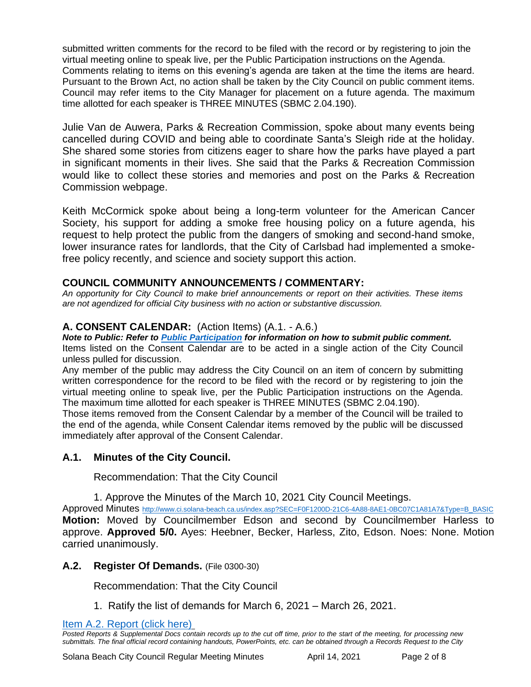submitted written comments for the record to be filed with the record or by registering to join the virtual meeting online to speak live, per the Public Participation instructions on the Agenda. Comments relating to items on this evening's agenda are taken at the time the items are heard. Pursuant to the Brown Act, no action shall be taken by the City Council on public comment items. Council may refer items to the City Manager for placement on a future agenda. The maximum time allotted for each speaker is THREE MINUTES (SBMC 2.04.190).

Julie Van de Auwera, Parks & Recreation Commission, spoke about many events being cancelled during COVID and being able to coordinate Santa's Sleigh ride at the holiday. She shared some stories from citizens eager to share how the parks have played a part in significant moments in their lives. She said that the Parks & Recreation Commission would like to collect these stories and memories and post on the Parks & Recreation Commission webpage.

Keith McCormick spoke about being a long-term volunteer for the American Cancer Society, his support for adding a smoke free housing policy on a future agenda, his request to help protect the public from the dangers of smoking and second-hand smoke, lower insurance rates for landlords, that the City of Carlsbad had implemented a smokefree policy recently, and science and society support this action.

#### **COUNCIL COMMUNITY ANNOUNCEMENTS / COMMENTARY:**

*An opportunity for City Council to make brief announcements or report on their activities. These items are not agendized for official City business with no action or substantive discussion.* 

### **A. CONSENT CALENDAR:** (Action Items) (A.1. - A.6.)

*Note to Public: Refer to Public Participation for information on how to submit public comment.*  Items listed on the Consent Calendar are to be acted in a single action of the City Council unless pulled for discussion.

Any member of the public may address the City Council on an item of concern by submitting written correspondence for the record to be filed with the record or by registering to join the virtual meeting online to speak live, per the Public Participation instructions on the Agenda. The maximum time allotted for each speaker is THREE MINUTES (SBMC 2.04.190).

Those items removed from the Consent Calendar by a member of the Council will be trailed to the end of the agenda, while Consent Calendar items removed by the public will be discussed immediately after approval of the Consent Calendar.

#### **A.1. Minutes of the City Council.**

Recommendation: That the City Council

1. Approve the Minutes of the March 10, 2021 City Council Meetings.

Approved Minutes [http://www.ci.solana-beach.ca.us/index.asp?SEC=F0F1200D-21C6-4A88-8AE1-0BC07C1A81A7&Type=B\\_BASIC](http://www.ci.solana-beach.ca.us/index.asp?SEC=F0F1200D-21C6-4A88-8AE1-0BC07C1A81A7&Type=B_BASIC) **Motion:** Moved by Councilmember Edson and second by Councilmember Harless to approve. **Approved 5/0.** Ayes: Heebner, Becker, Harless, Zito, Edson. Noes: None. Motion carried unanimously.

#### **A.2. Register Of Demands.** (File 0300-30)

Recommendation: That the City Council

1. Ratify the list of demands for March 6, 2021 – March 26, 2021.

[Item A.2. Report \(click here\)](https://solanabeach.govoffice3.com/vertical/Sites/%7B840804C2-F869-4904-9AE3-720581350CE7%7D/uploads/Item_A.2._Report_(click_here)_04-14-21_O.pdf)

Solana Beach City Council Regular Meeting Minutes **April 14, 2021** Page 2 of 8

*Posted Reports & Supplemental Docs contain records up to the cut off time, prior to the start of the meeting, for processing new submittals. The final official record containing handouts, PowerPoints, etc. can be obtained through a Records Request to the City*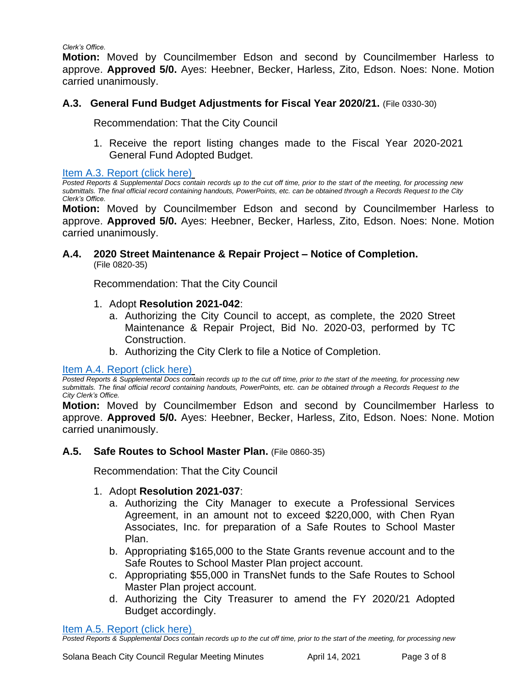*Clerk's Office.*

**Motion:** Moved by Councilmember Edson and second by Councilmember Harless to approve. **Approved 5/0.** Ayes: Heebner, Becker, Harless, Zito, Edson. Noes: None. Motion carried unanimously.

#### **A.3. General Fund Budget Adjustments for Fiscal Year 2020/21.** (File 0330-30)

Recommendation: That the City Council

1. Receive the report listing changes made to the Fiscal Year 2020-2021 General Fund Adopted Budget.

Item [A.3. Report \(click here\)](https://solanabeach.govoffice3.com/vertical/Sites/%7B840804C2-F869-4904-9AE3-720581350CE7%7D/uploads/Item_A.3._Report_(click_here)_04-14-21_O.pdf)

*Posted Reports & Supplemental Docs contain records up to the cut off time, prior to the start of the meeting, for processing new submittals. The final official record containing handouts, PowerPoints, etc. can be obtained through a Records Request to the City Clerk's Office.*

**Motion:** Moved by Councilmember Edson and second by Councilmember Harless to approve. **Approved 5/0.** Ayes: Heebner, Becker, Harless, Zito, Edson. Noes: None. Motion carried unanimously.

#### **A.4. 2020 Street Maintenance & Repair Project – Notice of Completion.** (File 0820-35)

Recommendation: That the City Council

- 1. Adopt **Resolution 2021-042**:
	- a. Authorizing the City Council to accept, as complete, the 2020 Street Maintenance & Repair Project, Bid No. 2020-03, performed by TC Construction.
	- b. Authorizing the City Clerk to file a Notice of Completion.

#### [Item A.4. Report \(click here\)](https://solanabeach.govoffice3.com/vertical/Sites/%7B840804C2-F869-4904-9AE3-720581350CE7%7D/uploads/Item_A.4._Report_(click_here)_04-14-21_O.pdf)

*Posted Reports & Supplemental Docs contain records up to the cut off time, prior to the start of the meeting, for processing new submittals. The final official record containing handouts, PowerPoints, etc. can be obtained through a Records Request to the City Clerk's Office.*

**Motion:** Moved by Councilmember Edson and second by Councilmember Harless to approve. **Approved 5/0.** Ayes: Heebner, Becker, Harless, Zito, Edson. Noes: None. Motion carried unanimously.

#### **A.5. Safe Routes to School Master Plan.** (File 0860-35)

Recommendation: That the City Council

#### 1. Adopt **Resolution 2021-037**:

- a. Authorizing the City Manager to execute a Professional Services Agreement, in an amount not to exceed \$220,000, with Chen Ryan Associates, Inc. for preparation of a Safe Routes to School Master Plan.
- b. Appropriating \$165,000 to the State Grants revenue account and to the Safe Routes to School Master Plan project account.
- c. Appropriating \$55,000 in TransNet funds to the Safe Routes to School Master Plan project account.
- d. Authorizing the City Treasurer to amend the FY 2020/21 Adopted Budget accordingly.

Item A.5. [Report \(click here\)](https://solanabeach.govoffice3.com/vertical/Sites/%7B840804C2-F869-4904-9AE3-720581350CE7%7D/uploads/Item_A.5._Report_(click_here)_04-14-21_O.pdf)

*Posted Reports & Supplemental Docs contain records up to the cut off time, prior to the start of the meeting, for processing new*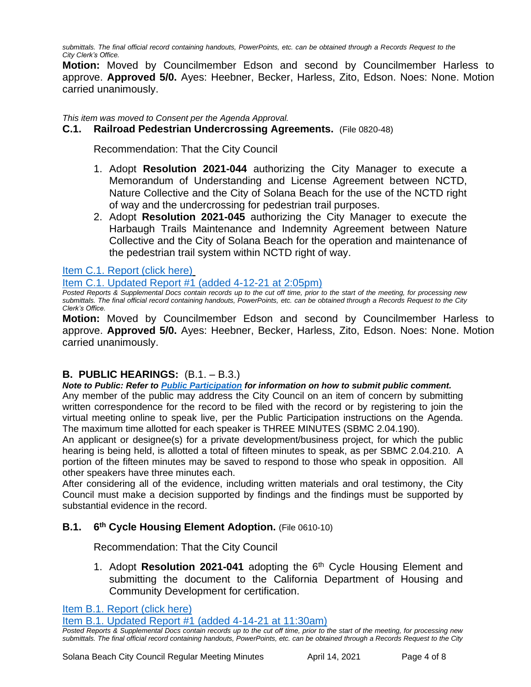*submittals. The final official record containing handouts, PowerPoints, etc. can be obtained through a Records Request to the City Clerk's Office.*

**Motion:** Moved by Councilmember Edson and second by Councilmember Harless to approve. **Approved 5/0.** Ayes: Heebner, Becker, Harless, Zito, Edson. Noes: None. Motion carried unanimously.

*This item was moved to Consent per the Agenda Approval.*

#### **C.1. Railroad Pedestrian Undercrossing Agreements.** (File 0820-48)

Recommendation: That the City Council

- 1. Adopt **Resolution 2021-044** authorizing the City Manager to execute a Memorandum of Understanding and License Agreement between NCTD, Nature Collective and the City of Solana Beach for the use of the NCTD right of way and the undercrossing for pedestrian trail purposes.
- 2. Adopt **Resolution 2021-045** authorizing the City Manager to execute the Harbaugh Trails Maintenance and Indemnity Agreement between Nature Collective and the City of Solana Beach for the operation and maintenance of the pedestrian trail system within NCTD right of way.

[Item C.1. Report \(click here\)](https://solanabeach.govoffice3.com/vertical/Sites/%7B840804C2-F869-4904-9AE3-720581350CE7%7D/uploads/Item_C.1._Report_(click_here)_04-14-21_O.pdf)

[Item C.1. Updated Report #1 \(added 4-12-21](https://solanabeach.govoffice3.com/vertical/Sites/%7B840804C2-F869-4904-9AE3-720581350CE7%7D/uploads/Item_C.1._-_Staff_Report_Update_1.pdf) at 2:05pm)

*Posted Reports & Supplemental Docs contain records up to the cut off time, prior to the start of the meeting, for processing new submittals. The final official record containing handouts, PowerPoints, etc. can be obtained through a Records Request to the City Clerk's Office.*

**Motion:** Moved by Councilmember Edson and second by Councilmember Harless to approve. **Approved 5/0.** Ayes: Heebner, Becker, Harless, Zito, Edson. Noes: None. Motion carried unanimously.

#### **B. PUBLIC HEARINGS:** (B.1. – B.3.)

*Note to Public: Refer to Public Participation for information on how to submit public comment.*  Any member of the public may address the City Council on an item of concern by submitting written correspondence for the record to be filed with the record or by registering to join the virtual meeting online to speak live, per the Public Participation instructions on the Agenda. The maximum time allotted for each speaker is THREE MINUTES (SBMC 2.04.190).

An applicant or designee(s) for a private development/business project, for which the public hearing is being held, is allotted a total of fifteen minutes to speak, as per SBMC 2.04.210. A portion of the fifteen minutes may be saved to respond to those who speak in opposition. All other speakers have three minutes each.

After considering all of the evidence, including written materials and oral testimony, the City Council must make a decision supported by findings and the findings must be supported by substantial evidence in the record.

#### **B.1. 6 th Cycle Housing Element Adoption.** (File 0610-10)

Recommendation: That the City Council

1. Adopt **Resolution 2021-041** adopting the 6th Cycle Housing Element and submitting the document to the California Department of Housing and Community Development for certification.

[Item B.1. Report](https://solanabeach.govoffice3.com/vertical/Sites/%7B840804C2-F869-4904-9AE3-720581350CE7%7D/uploads/Item_B.1._Report_(click_here)_04-14-21_O.pdf) (click here)

[Item B.1. Updated Report #1 \(added 4-14-21 at 11:30am\)](https://solanabeach.govoffice3.com/vertical/Sites/%7B840804C2-F869-4904-9AE3-720581350CE7%7D/uploads/Item_B.1._Updated_Report_1_-_4-14_(930am).pdf)

*Posted Reports & Supplemental Docs contain records up to the cut off time, prior to the start of the meeting, for processing new submittals. The final official record containing handouts, PowerPoints, etc. can be obtained through a Records Request to the City*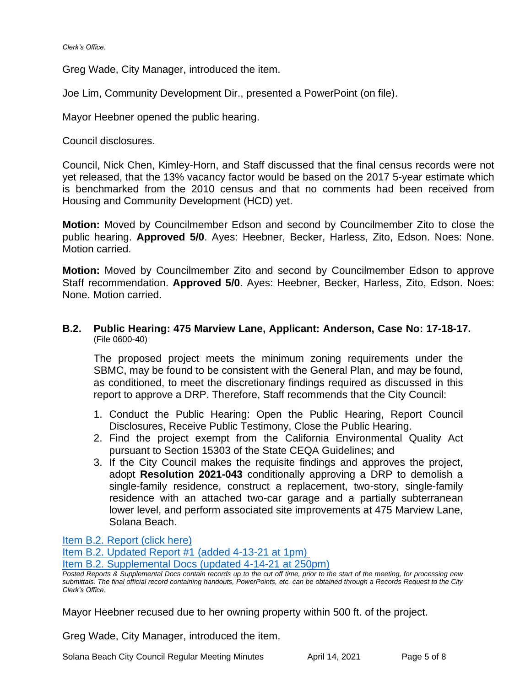Greg Wade, City Manager, introduced the item.

Joe Lim, Community Development Dir., presented a PowerPoint (on file).

Mayor Heebner opened the public hearing.

Council disclosures.

Council, Nick Chen, Kimley-Horn, and Staff discussed that the final census records were not yet released, that the 13% vacancy factor would be based on the 2017 5-year estimate which is benchmarked from the 2010 census and that no comments had been received from Housing and Community Development (HCD) yet.

**Motion:** Moved by Councilmember Edson and second by Councilmember Zito to close the public hearing. **Approved 5/0**. Ayes: Heebner, Becker, Harless, Zito, Edson. Noes: None. Motion carried.

**Motion:** Moved by Councilmember Zito and second by Councilmember Edson to approve Staff recommendation. **Approved 5/0**. Ayes: Heebner, Becker, Harless, Zito, Edson. Noes: None. Motion carried.

#### **B.2. Public Hearing: 475 Marview Lane, Applicant: Anderson, Case No: 17-18-17.**  (File 0600-40)

The proposed project meets the minimum zoning requirements under the SBMC, may be found to be consistent with the General Plan, and may be found, as conditioned, to meet the discretionary findings required as discussed in this report to approve a DRP. Therefore, Staff recommends that the City Council:

- 1. Conduct the Public Hearing: Open the Public Hearing, Report Council Disclosures, Receive Public Testimony, Close the Public Hearing.
- 2. Find the project exempt from the California Environmental Quality Act pursuant to Section 15303 of the State CEQA Guidelines; and
- 3. If the City Council makes the requisite findings and approves the project, adopt **Resolution 2021-043** conditionally approving a DRP to demolish a single-family residence, construct a replacement, two-story, single-family residence with an attached two-car garage and a partially subterranean lower level, and perform associated site improvements at 475 Marview Lane, Solana Beach.

[Item B.2. Report \(click here\)](https://solanabeach.govoffice3.com/vertical/Sites/%7B840804C2-F869-4904-9AE3-720581350CE7%7D/uploads/Item_B.2._Report_(click_here)_04-14-21_O.pdf)

[Item B.2. Updated Report #1 \(added 4-13-21](https://solanabeach.govoffice3.com/vertical/Sites/%7B840804C2-F869-4904-9AE3-720581350CE7%7D/uploads/Item_B.2._Updated_Report_1_-_4-13-21_-_O.pdf) at 1pm)

[Item B.2. Supplemental Docs \(updated 4-14-21 at 250pm\)](https://solanabeach.govoffice3.com/vertical/Sites/%7B840804C2-F869-4904-9AE3-720581350CE7%7D/uploads/Item_B.2._Supplemental_Docs_(upd._4-14_at_237pm)_-_O.pdf)

Mayor Heebner recused due to her owning property within 500 ft. of the project.

Greg Wade, City Manager, introduced the item.

Solana Beach City Council Regular Meeting Minutes **April 14, 2021** Page 5 of 8

*Posted Reports & Supplemental Docs contain records up to the cut off time, prior to the start of the meeting, for processing new submittals. The final official record containing handouts, PowerPoints, etc. can be obtained through a Records Request to the City Clerk's Office.*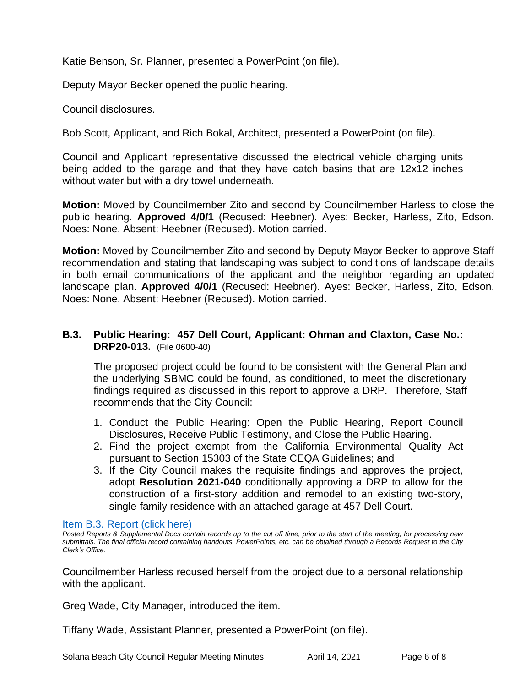Katie Benson, Sr. Planner, presented a PowerPoint (on file).

Deputy Mayor Becker opened the public hearing.

Council disclosures.

Bob Scott, Applicant, and Rich Bokal, Architect, presented a PowerPoint (on file).

Council and Applicant representative discussed the electrical vehicle charging units being added to the garage and that they have catch basins that are 12x12 inches without water but with a dry towel underneath.

**Motion:** Moved by Councilmember Zito and second by Councilmember Harless to close the public hearing. **Approved 4/0/1** (Recused: Heebner). Ayes: Becker, Harless, Zito, Edson. Noes: None. Absent: Heebner (Recused). Motion carried.

**Motion:** Moved by Councilmember Zito and second by Deputy Mayor Becker to approve Staff recommendation and stating that landscaping was subject to conditions of landscape details in both email communications of the applicant and the neighbor regarding an updated landscape plan. **Approved 4/0/1** (Recused: Heebner). Ayes: Becker, Harless, Zito, Edson. Noes: None. Absent: Heebner (Recused). Motion carried.

#### **B.3. Public Hearing: 457 Dell Court, Applicant: Ohman and Claxton, Case No.: DRP20-013.** (File 0600-40)

The proposed project could be found to be consistent with the General Plan and the underlying SBMC could be found, as conditioned, to meet the discretionary findings required as discussed in this report to approve a DRP. Therefore, Staff recommends that the City Council:

- 1. Conduct the Public Hearing: Open the Public Hearing, Report Council Disclosures, Receive Public Testimony, and Close the Public Hearing.
- 2. Find the project exempt from the California Environmental Quality Act pursuant to Section 15303 of the State CEQA Guidelines; and
- 3. If the City Council makes the requisite findings and approves the project, adopt **Resolution 2021-040** conditionally approving a DRP to allow for the construction of a first-story addition and remodel to an existing two-story, single-family residence with an attached garage at 457 Dell Court.

#### [Item B.3. Report \(click here\)](https://solanabeach.govoffice3.com/vertical/Sites/%7B840804C2-F869-4904-9AE3-720581350CE7%7D/uploads/Item_B.3._Report_(click_here)_04-14-21_O.pdf)

*Posted Reports & Supplemental Docs contain records up to the cut off time, prior to the start of the meeting, for processing new submittals. The final official record containing handouts, PowerPoints, etc. can be obtained through a Records Request to the City Clerk's Office.*

Councilmember Harless recused herself from the project due to a personal relationship with the applicant.

Greg Wade, City Manager, introduced the item.

Tiffany Wade, Assistant Planner, presented a PowerPoint (on file).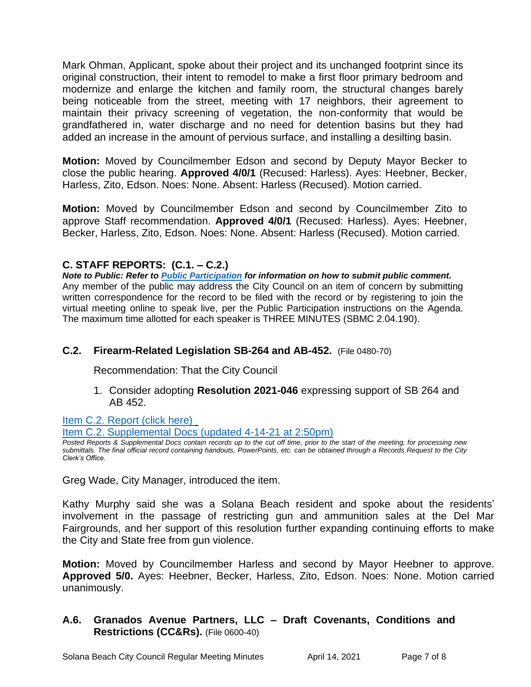Mark Ohman, Applicant, spoke about their project and its unchanged footprint since its original construction, their intent to remodel to make a first floor primary bedroom and modernize and enlarge the kitchen and family room, the structural changes barely being noticeable from the street, meeting with 17 neighbors, their agreement to maintain their privacy screening of vegetation, the non-conformity that would be grandfathered in, water discharge and no need for detention basins but they had added an increase in the amount of pervious surface, and installing a desilting basin.

**Motion:** Moved by Councilmember Edson and second by Deputy Mayor Becker to close the public hearing. **Approved 4/0/1** (Recused: Harless). Ayes: Heebner, Becker, Harless, Zito, Edson. Noes: None. Absent: Harless (Recused). Motion carried.

**Motion:** Moved by Councilmember Edson and second by Councilmember Zito to approve Staff recommendation. **Approved 4/0/1** (Recused: Harless). Ayes: Heebner, Becker, Harless, Zito, Edson. Noes: None. Absent: Harless (Recused). Motion carried.

#### **C. STAFF REPORTS: (C.1. – C.2.)**

*Note to Public: Refer to Public Participation for information on how to submit public comment.*  Any member of the public may address the City Council on an item of concern by submitting written correspondence for the record to be filed with the record or by registering to join the virtual meeting online to speak live, per the Public Participation instructions on the Agenda. The maximum time allotted for each speaker is THREE MINUTES (SBMC 2.04.190).

#### **C.2. Firearm-Related Legislation SB-264 and AB-452.** (File 0480-70)

Recommendation: That the City Council

1. Consider adopting **Resolution 2021-046** expressing support of SB 264 and AB 452.

[Item C.2. Report](https://solanabeach.govoffice3.com/vertical/Sites/%7B840804C2-F869-4904-9AE3-720581350CE7%7D/uploads/Item_C.2._Report_(click_here)_04-14-21_O.pdf) (click here)

[Item C.2. Supplemental Docs \(updated](https://solanabeach.govoffice3.com/vertical/Sites/%7B840804C2-F869-4904-9AE3-720581350CE7%7D/uploads/Item_C.2._Supplemental_Docs_(Upd._4-14_at_235pm)_-_O.pdf) 4-14-21 at 2:50pm)

*Posted Reports & Supplemental Docs contain records up to the cut off time, prior to the start of the meeting, for processing new submittals. The final official record containing handouts, PowerPoints, etc. can be obtained through a Records Request to the City Clerk's Office.*

Greg Wade, City Manager, introduced the item.

Kathy Murphy said she was a Solana Beach resident and spoke about the residents' involvement in the passage of restricting gun and ammunition sales at the Del Mar Fairgrounds, and her support of this resolution further expanding continuing efforts to make the City and State free from gun violence.

**Motion:** Moved by Councilmember Harless and second by Mayor Heebner to approve. **Approved 5/0.** Ayes: Heebner, Becker, Harless, Zito, Edson. Noes: None. Motion carried unanimously.

#### **A.6. Granados Avenue Partners, LLC – Draft Covenants, Conditions and Restrictions (CC&Rs).** (File 0600-40)